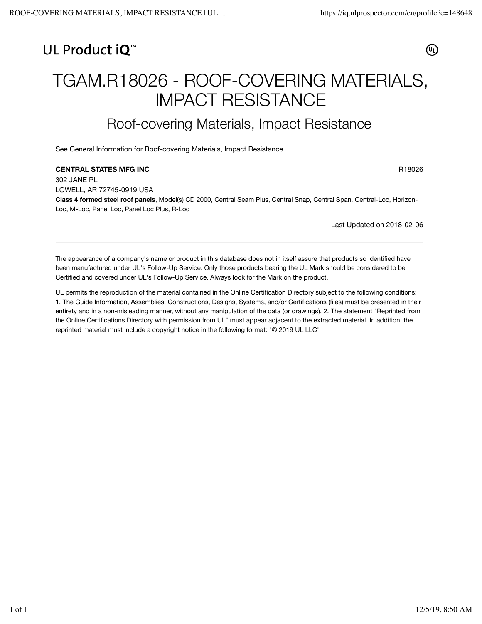## UL Product iQ<sup>™</sup>

(4)

# TGAM.R18026 - ROOF-COVERING MATERIALS, IMPACT RESISTANCE

## Roof-covering Materials, Impact Resistance

See General Information for Roof-covering Materials, Impact Resistance

#### **CENTRAL STATES MFG INC** RESOLUTION CONTROL CONTRAL STATES MFG INC.

302 JANE PL LOWELL, AR 72745-0919 USA **Class 4 formed steel roof panels**, Model(s) CD 2000, Central Seam Plus, Central Snap, Central Span, Central-Loc, Horizon-Loc, M-Loc, Panel Loc, Panel Loc Plus, R-Loc

Last Updated on 2018-02-06

The appearance of a company's name or product in this database does not in itself assure that products so identified have been manufactured under UL's Follow-Up Service. Only those products bearing the UL Mark should be considered to be Certified and covered under UL's Follow-Up Service. Always look for the Mark on the product.

UL permits the reproduction of the material contained in the Online Certification Directory subject to the following conditions: 1. The Guide Information, Assemblies, Constructions, Designs, Systems, and/or Certifications (files) must be presented in their entirety and in a non-misleading manner, without any manipulation of the data (or drawings). 2. The statement "Reprinted from the Online Certifications Directory with permission from UL" must appear adjacent to the extracted material. In addition, the reprinted material must include a copyright notice in the following format: "© 2019 UL LLC"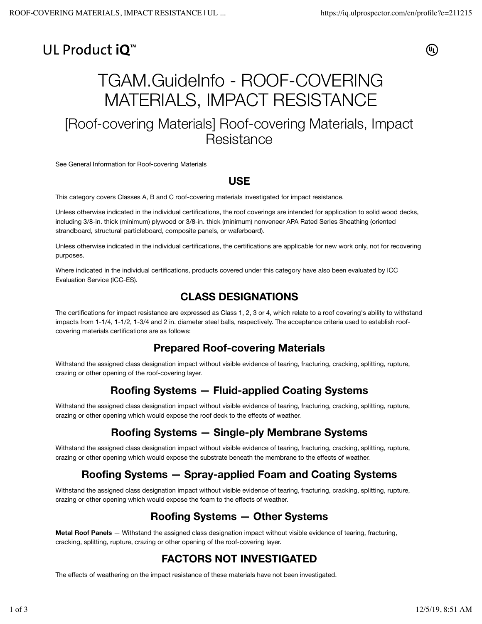# UL Product iO<sup>™</sup>

@

# TGAM.GuideInfo - ROOF-COVERING MATERIALS, IMPACT RESISTANCE

## [Roof-covering Materials] Roof-covering Materials, Impact Resistance

See General Information for Roof-covering Materials

#### **USE**

This category covers Classes A, B and C roof-covering materials investigated for impact resistance.

Unless otherwise indicated in the individual certifications, the roof coverings are intended for application to solid wood decks, including 3/8-in. thick (minimum) plywood or 3/8-in. thick (minimum) nonveneer APA Rated Series Sheathing (oriented strandboard, structural particleboard, composite panels, or waferboard).

Unless otherwise indicated in the individual certifications, the certifications are applicable for new work only, not for recovering purposes.

Where indicated in the individual certifications, products covered under this category have also been evaluated by ICC Evaluation Service (ICC-ES).

#### **CLASS DESIGNATIONS**

The certifications for impact resistance are expressed as Class 1, 2, 3 or 4, which relate to a roof covering's ability to withstand impacts from 1-1/4, 1-1/2, 1-3/4 and 2 in. diameter steel balls, respectively. The acceptance criteria used to establish roofcovering materials certifications are as follows:

#### **Prepared Roof-covering Materials**

Withstand the assigned class designation impact without visible evidence of tearing, fracturing, cracking, splitting, rupture, crazing or other opening of the roof-covering layer.

#### **Roofing Systems — Fluid-applied Coating Systems**

Withstand the assigned class designation impact without visible evidence of tearing, fracturing, cracking, splitting, rupture, crazing or other opening which would expose the roof deck to the effects of weather.

### **Roofing Systems — Single-ply Membrane Systems**

Withstand the assigned class designation impact without visible evidence of tearing, fracturing, cracking, splitting, rupture, crazing or other opening which would expose the substrate beneath the membrane to the effects of weather.

### **Roofing Systems — Spray-applied Foam and Coating Systems**

Withstand the assigned class designation impact without visible evidence of tearing, fracturing, cracking, splitting, rupture, crazing or other opening which would expose the foam to the effects of weather.

#### **Roofing Systems — Other Systems**

**Metal Roof Panels** — Withstand the assigned class designation impact without visible evidence of tearing, fracturing, cracking, splitting, rupture, crazing or other opening of the roof-covering layer.

### **FACTORS NOT INVESTIGATED**

The effects of weathering on the impact resistance of these materials have not been investigated.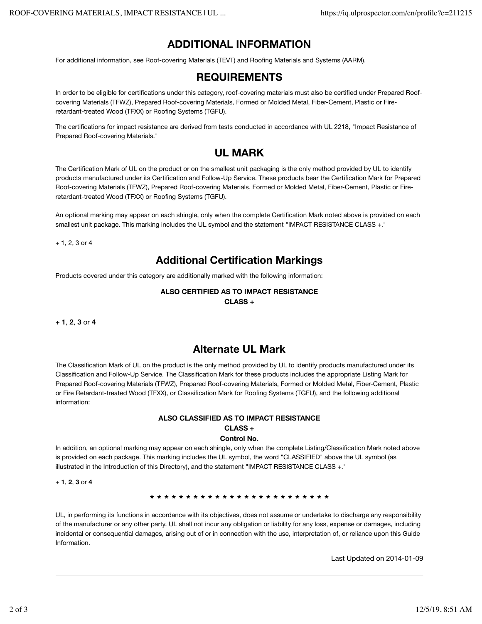#### **ADDITIONAL INFORMATION**

For additional information, see Roof-covering Materials (TEVT) and Roofing Materials and Systems (AARM).

#### **REQUIREMENTS**

In order to be eligible for certifications under this category, roof-covering materials must also be certified under Prepared Roofcovering Materials (TFWZ), Prepared Roof-covering Materials, Formed or Molded Metal, Fiber-Cement, Plastic or Fireretardant-treated Wood (TFXX) or Roofing Systems (TGFU).

The certifications for impact resistance are derived from tests conducted in accordance with UL 2218, "Impact Resistance of Prepared Roof-covering Materials."

## **UL MARK**

The Certification Mark of UL on the product or on the smallest unit packaging is the only method provided by UL to identify products manufactured under its Certification and Follow-Up Service. These products bear the Certification Mark for Prepared Roof-covering Materials (TFWZ), Prepared Roof-covering Materials, Formed or Molded Metal, Fiber-Cement, Plastic or Fireretardant-treated Wood (TFXX) or Roofing Systems (TGFU).

An optional marking may appear on each shingle, only when the complete Certification Mark noted above is provided on each smallest unit package. This marking includes the UL symbol and the statement "IMPACT RESISTANCE CLASS +."

+ 1, 2, 3 or 4

#### **Additional Certification Markings**

Products covered under this category are additionally marked with the following information:

#### **ALSO CERTIFIED AS TO IMPACT RESISTANCE CLASS +**

+ **1**, **2**, **3** or **4**

#### **Alternate UL Mark**

The Classification Mark of UL on the product is the only method provided by UL to identify products manufactured under its Classification and Follow-Up Service. The Classification Mark for these products includes the appropriate Listing Mark for Prepared Roof-covering Materials (TFWZ), Prepared Roof-covering Materials, Formed or Molded Metal, Fiber-Cement, Plastic or Fire Retardant-treated Wood (TFXX), or Classification Mark for Roofing Systems (TGFU), and the following additional information:

#### **ALSO CLASSIFIED AS TO IMPACT RESISTANCE CLASS +**

#### **Control No.**

In addition, an optional marking may appear on each shingle, only when the complete Listing/Classification Mark noted above is provided on each package. This marking includes the UL symbol, the word "CLASSIFIED" above the UL symbol (as illustrated in the Introduction of this Directory), and the statement "IMPACT RESISTANCE CLASS +."

+ **1**, **2**, **3** or **4**

**\* \* \* \* \* \* \* \* \* \* \* \* \* \* \* \* \* \* \* \* \* \* \* \* \***

UL, in performing its functions in accordance with its objectives, does not assume or undertake to discharge any responsibility of the manufacturer or any other party. UL shall not incur any obligation or liability for any loss, expense or damages, including incidental or consequential damages, arising out of or in connection with the use, interpretation of, or reliance upon this Guide Information.

Last Updated on 2014-01-09